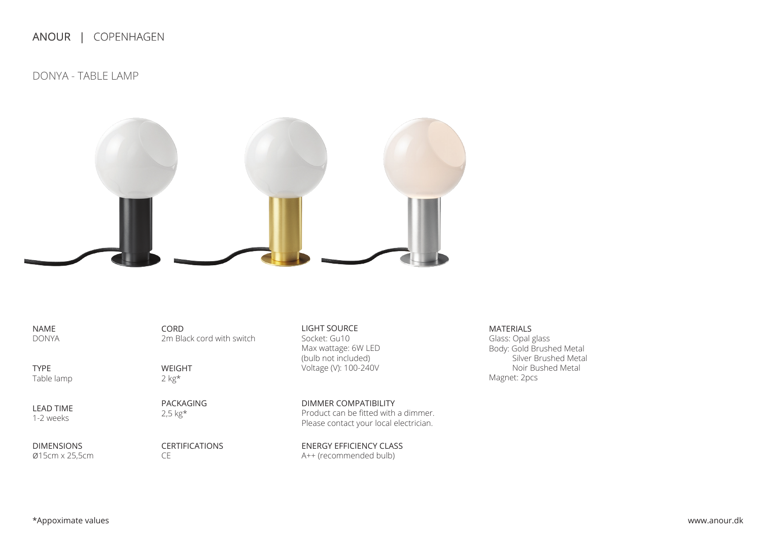ANOUR | COPENHAGEN

DONYA - TABLE LAMP



NAME DONYA

TYPE Table lamp

LEAD TIME 1-2 weeks

DIMENSIONS ø15cm x 25,5cm

WEIGHT 2 kg\*

2m Black cord with switch

CORD

PACKAGING 2,5 kg\*

CERTIFICATIONS CE

LIGHT SOURCE Socket: Gu10 Max wattage: 6W LED (bulb not included) Voltage (V): 100-240V

Product can be fitted with a dimmer. Please contact your local electrician. DIMMER COMPATIBILITY

ENERGY EFFICIENCY CLASS A++ (recommended bulb)

MATERIALS Glass: Opal glass Body: Gold Brushed Metal Silver Brushed Metal Noir Bushed Metal Magnet: 2pcs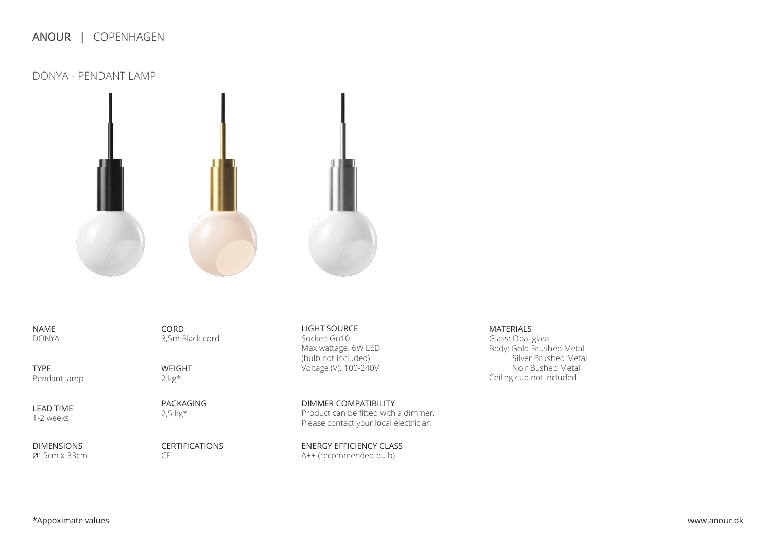## ANOUR | COPENHAGEN

DONYA - PENDANT LAMP



NAME DONYA

TYPE Pendant lamp

LEAD TIME 1-2 weeks

DIMENSIONS ø15cm x 33cm

WEIGHT 2 kg\*

CORD

3,5m Black cord

PACKAGING 2,5 kg\*

CERTIFICATIONS CE

LIGHT SOURCE Socket: Gu10 Max wattage: 6W LED (bulb not included) Voltage (V): 100-240V

Product can be fitted with a dimmer. Please contact your local electrician. DIMMER COMPATIBILITY

ENERGY EFFICIENCY CLASS A++ (recommended bulb)

MATERIALS Glass: Opal glass Body: Gold Brushed Metal Silver Brushed Metal Noir Bushed Metal Ceiling cup not included